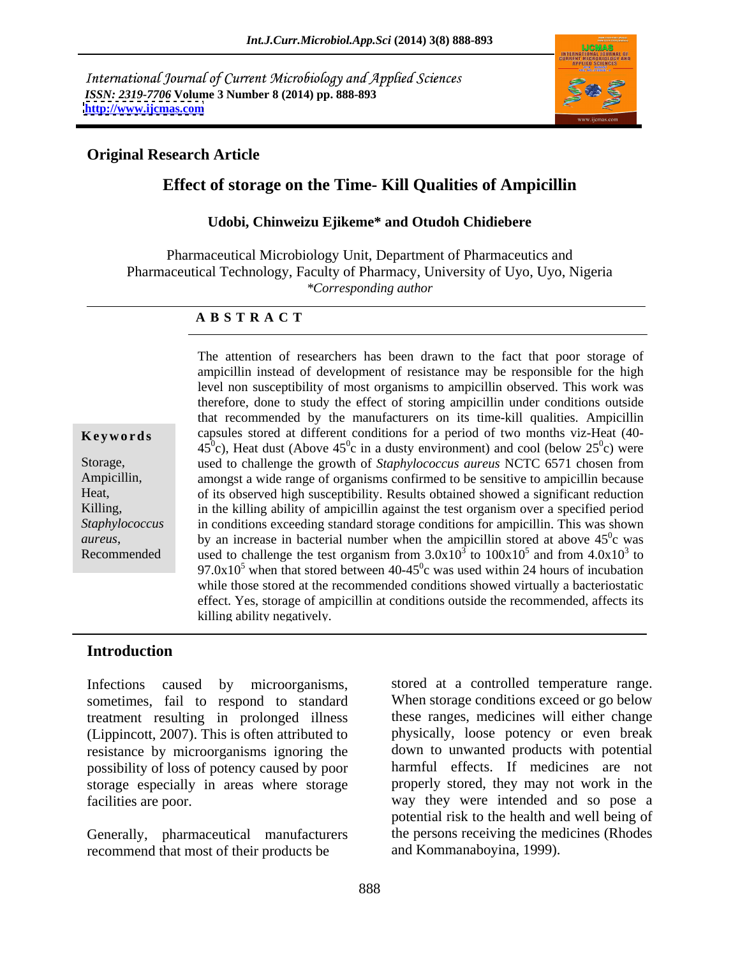International Journal of Current Microbiology and Applied Sciences *ISSN: 2319-7706* **Volume 3 Number 8 (2014) pp. 888-893 <http://www.ijcmas.com>**



## **Original Research Article**

# **Effect of storage on the Time- Kill Qualities of Ampicillin**

### **Udobi, Chinweizu Ejikeme\* and Otudoh Chidiebere**

Pharmaceutical Microbiology Unit, Department of Pharmaceutics and Pharmaceutical Technology, Faculty of Pharmacy, University of Uyo, Uyo, Nigeria *\*Corresponding author*

### **A B S T R A C T**

**Keywords** capsules stored at different conditions for a period of two months viz-Heat (40-Storage, used to challenge the growth of *Staphylococcus aureus* NCTC 6571 chosen from Ampicillin, amongst a wide range of organismsconfirmed to be sensitive to ampicillin because Heat, of its observed high susceptibility. Results obtained showed a significant reduction Killing, a settled in the killing ability of ampicillin against the test organism over a specified period *Staphylococcus*  in conditions exceeding standard storage conditions for ampicillin. This was shown *aureus*, by an increase in bacterial number when the ampicillin stored at above  $45^{\circ}$ c was<br>Recommended used to challenge the test organism from  $3.0x10^3$  to  $100x10^5$  and from  $4.0x10^3$  to The attention of researchers has been drawn to the fact that poor storage of ampicillin instead of development of resistance may be responsible for the high level non susceptibility of most organisms to ampicillin observed. This work was therefore, done to study the effect of storing ampicillin under conditions outside that recommended by the manufacturers on its time-kill qualities. Ampicillin 45<sup>0</sup>c), Heat dust (Above 45<sup>0</sup>c in a dusty environment) and cool (below 25<sup>0</sup>c) were  $\binom{0}{0}$  wore c) were by an increase in bacterial number when the ampicillin stored at above  $45^{\circ}$ c was  $0<sub>o</sub>$  wee c was  $^5$  and from  $4.0 \times 10^3$  to and from  $4.0x10<sup>3</sup>$  to  $3<sub>to</sub>$ to  $97.0x10<sup>5</sup>$  when that stored between 40-45<sup>o</sup>c was used within 24 hours of incubation while those stored at the recommended conditions showed virtually a bacteriostatic effect. Yes, storage of ampicillin at conditions outside the recommended, affects its killing ability negatively.

### **Introduction**

Infections caused by microorganisms, stored at a controlled temperature range. sometimes, fail to respond to standard treatment resulting in prolonged illness (Lippincott, 2007). This is often attributed to resistance by microorganisms ignoring the possibility of loss of potency caused by poor storage especially in areas where storage

Generally, pharmaceutical manufacturers recommend that most of their products be

facilities are poor. way they were intended and so pose a When storage conditions exceed or go below these ranges, medicines will either change physically, loose potency or even break down to unwanted products with potential harmful effects. If medicines are not properly stored, they may not work in the potential risk to the health and well being of the persons receiving the medicines (Rhodes and Kommanaboyina, 1999).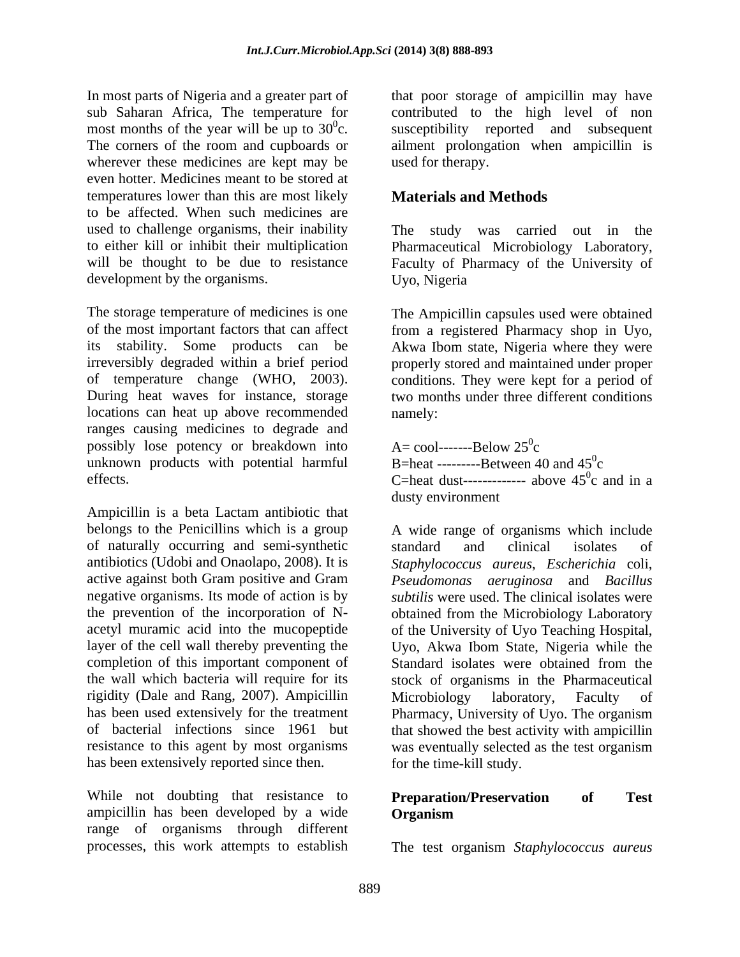In most parts of Nigeria and a greater part of wherever these medicines are kept may be even hotter. Medicines meant to be stored at temperatures lower than this are most likely to be affected. When such medicines are used to challenge organisms, their inability are not check was carried out in the to either kill or inhibit their multiplication Pharmaceutical Microbiology Laboratory, will be thought to be due to resistance Faculty of Pharmacy of the University of development by the organisms. Uyo, Nigeria

The storage temperature of medicines is one The Ampicillin capsules used were obtained of the most important factors that can affect from a registered Pharmacy shop in Uyo, its stability. Some products can be Akwa Ibom state, Nigeria where they were irreversibly degraded within a brief period properly stored and maintained under proper of temperature change (WHO, 2003). conditions. They were kept for a period of During heat waves for instance, storage two months under three different conditions locations can heat up above recommended namely: ranges causing medicines to degrade and possibly lose potency or breakdown into unknown products with potential harmful

Ampicillin is a beta Lactam antibiotic that belongs to the Penicillins which is a group A wide range of organisms which include of naturally occurring and semi-synthetic completion of this important component of Standard isolates were obtained from the rigidity (Dale and Rang, 2007). Ampicillin Microbiology laboratory, Faculty of has been used extensively for the treatment Pharmacy. University of Uyo. The organism has been extensively reported since then.

While not doubting that resistance to **Preparation/Preservation** of Test ampicillin has been developed by a wide range of organisms through different

sub Saharan Africa, The temperature for contributed to the high level of non most months of the year will be up to  $30^{\circ}$ c. susceptibility reported and subsequent The corners of the room and cupboards or ailment prolongation when ampicillin is that poor storage of ampicillin may have used for therapy.

# **Materials and Methods**

The study was carried out in Uyo, Nigeria

namely: the contraction of the contraction of the contraction of the contraction of the contraction of the contraction of the contraction of the contraction of the contraction of the contraction of the contraction of the c

effects.  $C=$ heat dust-------------- above  $45^\circ$ c and in a  $A=$  cool-------Below  $25^0c$ c and the contract of the contract of the contract of the contract of the contract of the contract of the contract of the contract of the contract of the contract of the contract of the contract of the contract of the cont B=heat ---------Between 40 and  $45^{\circ}$ c c and the contract of the contract of the contract of the contract of the contract of the contract of the contract of the contract of the contract of the contract of the contract of the contract of the contract of the cont  $^{0}$  and in a c and in a dusty environment

antibiotics (Udobi and Onaolapo, 2008). It is *Staphylococcus aureus*, *Escherichia* coli, active against both Gram positive and Gram *Pseudomonas aeruginosa* and *Bacillus* negative organisms. Its mode of action is by *subtilis* were used. The clinical isolates were the prevention of the incorporation of N- obtained from the Microbiology Laboratory acetyl muramic acid into the mucopeptide of the University of Uyo Teaching Hospital, layer of the cell wall thereby preventing the Uyo, Akwa Ibom State, Nigeria while the the wall which bacteria will require for its stock of organisms in the Pharmaceutical has been used extensively for the treatment Pharmacy, University of Uyo. The organism of bacterial infections since 1961 but that showed the best activity with ampicillin resistance to this agent by most organisms was eventually selected as the test organism standard and clinical isolates of Standard isolates were obtained from the Microbiology laboratory, Faculty of for the time-kill study.

## **Preparation/Preservation of Test Organism**

processes, this work attempts to establish The test organism *Staphylococcus aureus*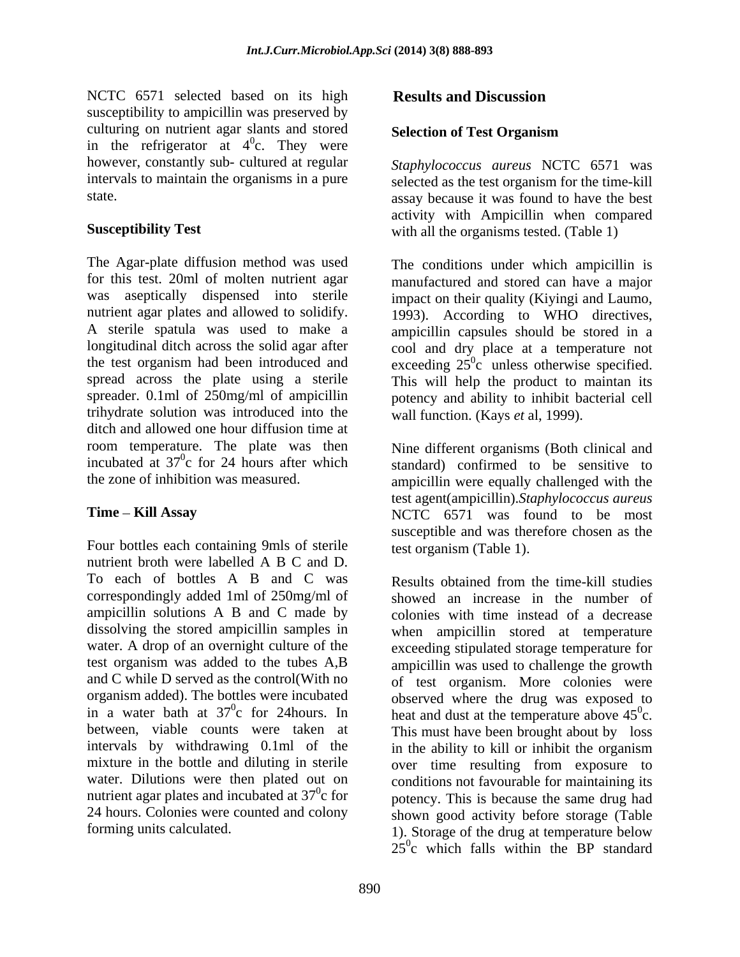NCTC 6571 selected based on its high **Results and Discussion** susceptibility to ampicillin was preserved by culturing on nutrient agar slants and stored<br>Selection of Test Organism in the refrigerator at  $4^0$ c. They were<br>however, constantly sub- cultured at regular  $\frac{0}{2}$  They were  $\frac{0}{2}$  They were c. They were however, constantly sub- cultured at regular *Staphylococcus aureus* NCTC 6571 was intervals to maintain the organisms in a pure selected as the test organism for the time-kill

The Agar-plate diffusion method was used for this test. 20ml of molten nutrient agar was aseptically dispensed into sterile impact on their quality (Kiyingi and Laumo, nutrient agar plates and allowed to solidify. A sterile spatula was used to make a ampicillin capsules should be stored in a longitudinal ditch across the solid agar after cool and dry place at a temperature not the test organism had been introduced and  $\alpha$  exceeding  $25^{\circ}c$  unless otherwise specified. spread across the plate using a sterile This will help the product to maintan its spreader. 0.1ml of 250mg/ml of ampicillin potency and ability to inhibit bacterial cell trihydrate solution was introduced into the ditch and allowed one hour diffusion time at room temperature. The plate was then Nine different organisms (Both clinical and incubated at  $37^{\circ}$ c for 24 hours after which standard) confirmed to be sensitive to incubated at  $37^\circ$ c for 24 hours after which

Four bottles each containing 9mls of sterile nutrient broth were labelled A B C and D. To each of bottles A B and C was Results obtained from the time-kill studies ampicillin solutions A B and C made by dissolving the stored ampicillin samples in nutrient agar plates and incubated at  $37^{\circ}$ c for

# **Results and Discussion**

## **Selection of Test Organism**

state. assay because it was found to have the best **Susceptibility Test** with all the organisms tested. (Table 1) activity with Ampicillin when compared

> The conditions under which ampicillin is manufactured and stored can have a major 1993). According to WHO directives, wall function. (Kays *et* al, 1999).

the zone of inhibition was measured. ampicillin were equally challenged with the **Time – Kill Assay** NCTC 6571 was found to be most test agent(ampicillin).*Staphylococcus aureus* susceptible and was therefore chosen as the test organism (Table 1).

correspondingly added 1ml of 250mg/ml of showed an increase in the number of water. A drop of an overnight culture of the exceeding stipulated storage temperature for test organism was added to the tubes A,B ampicillin was used to challenge the growth and C while D served as the control(With no of test organism. More colonies were organism added). The bottles were incubated observed where the drug was exposed to in a water bath at  $37^\circ$ c for 24 hours. In heat and dust at the temperature above  $45^\circ$ c. between, viable counts were taken at This must have been brought about by loss intervals by withdrawing 0.1ml of the in the ability to kill or inhibit the organism mixture in the bottle and diluting in sterile over time resulting from exposure to water. Dilutions were then plated out on conditions not favourable for maintaining its c for potency. This is because the same drug had 24 hours. Colonies were counted and colony shown good activity before storage (Table forming units calculated. 1). Storage of the drug at temperature below Results obtained from the time-kill studies colonies with time instead of a decrease when ampicillin stored at temperature  $\sigma_{\alpha}$ c.  $25^\circ$ c which falls within the BP standard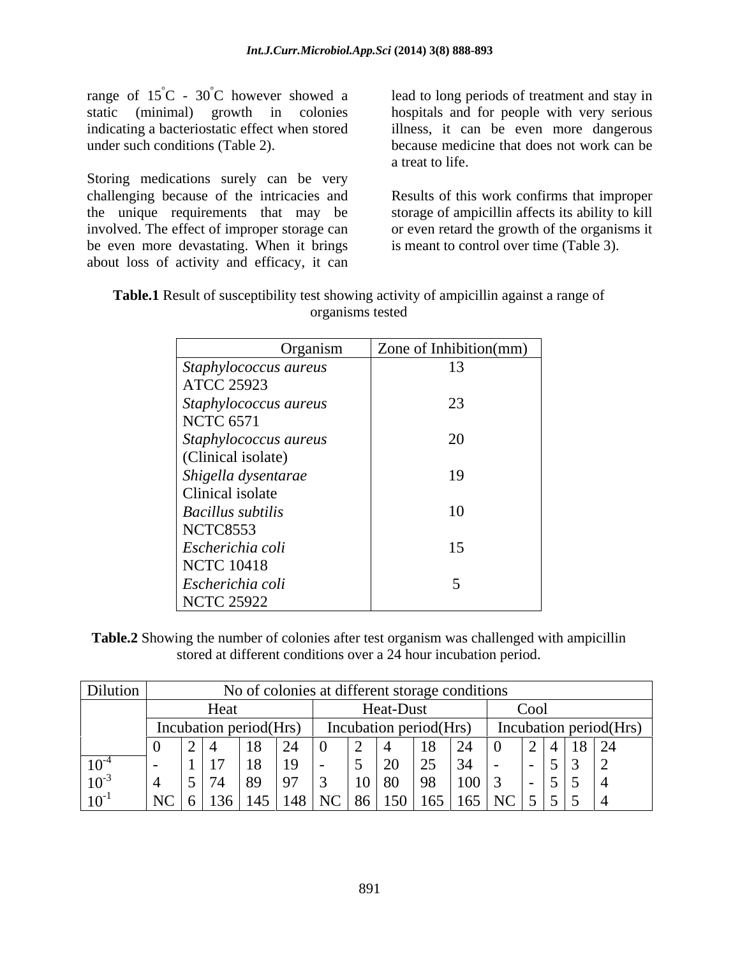range of  $15^{\circ}$ C -  $30^{\circ}$ C however showed a lead to long periods of treatment and stay in static (minimal) growth in colonies hospitals and for people with very serious indicating a bacteriostatic effect when stored illness, it can be even more dangerous

Storing medications surely can be very challenging because of the intricacies and Results of this work confirms that improper the unique requirements that may be storage of ampicillin affects its ability to kill involved. The effect of improper storage can or even retard the growth of the organisms it be even more devastating. When it brings about loss of activity and efficacy, it can

under such conditions (Table 2). because medicine that does not work can be a treat to life.

is meant to control over time (Table 3).

| <b>Table.1</b> Result of susceptibility test showing activity of ampicillin against a range of |  |
|------------------------------------------------------------------------------------------------|--|
| <b>Leanisms</b> tested                                                                         |  |

| Organism                           | Zone of Inhibition(mm) |
|------------------------------------|------------------------|
| Staphylococcus aureus              | 13                     |
| <b>ATCC 25923</b>                  |                        |
| Staphylococcus aureus<br>NCTC 6571 | 23                     |
| Staphylococcus aureus              | 20                     |
| (Clinical isolate)                 |                        |
| Shigella dysentarae                | 19                     |
| Clinical isolate                   |                        |
| <b>Bacillus subtilis</b>           | 10                     |
| NCTC8553                           |                        |
| Escherichia coli                   | 15                     |
| NCTC 10418                         |                        |
| Escherichia coli                   |                        |
| NCTC 25922                         |                        |

**Table.2** Showing the number of colonies after test organism was challenged with ampicillin stored at different conditions over a 24 hour incubation period.

| Dilution  |                        |                                         | f colonies at different storage conditions |                                                              |                     |
|-----------|------------------------|-----------------------------------------|--------------------------------------------|--------------------------------------------------------------|---------------------|
|           | Heat                   |                                         | Heat-Dust                                  | Cool                                                         |                     |
|           | incubation period(Hrs) |                                         | Incubation period(Hrs)                     | Incubation period(Hrs)                                       |                     |
|           |                        | ιv                                      |                                            | $\sim$ $\sim$                                                | $\vert 18 \vert 24$ |
| $10^{-4}$ |                        | .,                                      | $\overline{\phantom{a}}$                   | $\sqrt{4}$                                                   |                     |
| $10^{-3}$ |                        | - -                                     |                                            | - - -<br>00 I                                                |                     |
| $10^{-1}$ | 14.2<br>วเ )           | 140.<br>$\overline{\mathbf{M}}$<br>148. | 150  <br>്റ്റ                              | 165   165   NC   5   5  <br>$\epsilon$ $\epsilon$ $\epsilon$ |                     |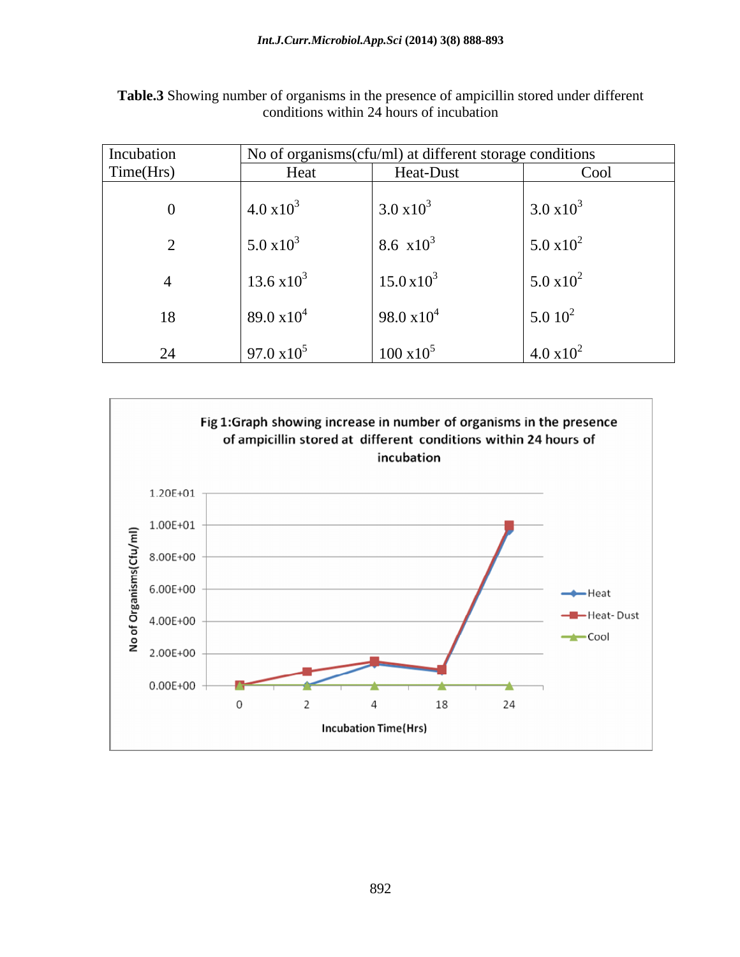| Incubation         |                     | No of organisms(cfu/ml) at different storage conditions |                     |
|--------------------|---------------------|---------------------------------------------------------|---------------------|
| $\text{Time(Hrs)}$ | Heat                | Heat-Dust                                               | Cool                |
|                    | $4.0 \times 10^{3}$ | $3.0 \times 10^3$                                       | $3.0 \times 10^3$   |
|                    | $5.0 \times 10^3$   | $8.6 \times 10^3$                                       | $5.0 \times 10^2$   |
|                    | $13.6 \times 10^3$  | $15.0 \times 10^3$                                      | $5.0 \times 10^2$   |
| 18                 | 89.0 $\times 10^4$  | 98.0 $\times 10^4$                                      | $5.010^2$           |
| 24                 | $97.0 \times 10^5$  | $100 \times 10^5$                                       | $4.0 \times 10^{2}$ |

**Table.3** Showing number of organisms in the presence of ampicillin stored under different conditions within 24 hours of incubation